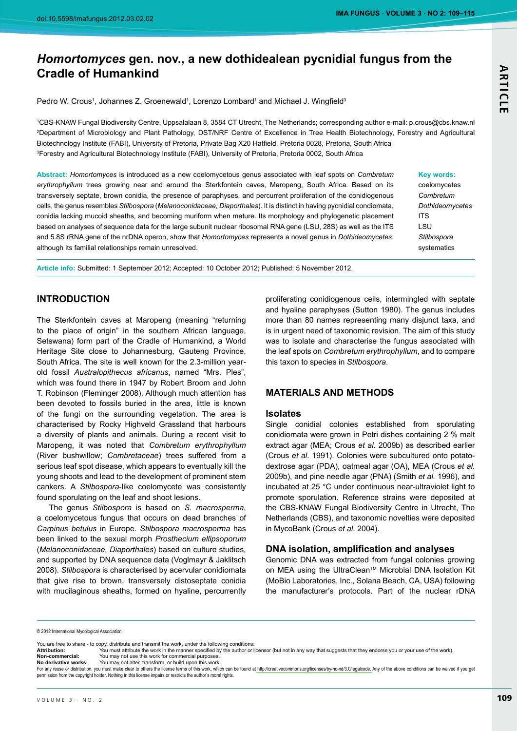# **ARTICLI**

# Homortomyces gen. nov., a new dothidealean pycnidial fungus from the **Cradle of Humankind**

Pedro W. Crous<sup>1</sup>, Johannes Z. Groenewald<sup>1</sup>, Lorenzo Lombard<sup>1</sup> and Michael J. Wingfield<sup>3</sup>

1CBS-KNAW Fungal Biodiversity Centre, Uppsalalaan 8, 3584 CT Utrecht, The Netherlands; corresponding author e-mail: p.crous@cbs.knaw.nl <sup>2</sup>Department of Microbiology and Plant Pathology, DST/NRF Centre of Excellence in Tree Health Biotechnology, Forestry and Agricultural Biotechnology Institute (FABI), University of Pretoria, Private Bag X20 Hatfield, Pretoria 0028, Pretoria, South Africa <sup>3</sup>Forestry and Agricultural Biotechnology Institute (FABI), University of Pretoria, Pretoria 0002, South Africa

Abstract: Homortomyces is introduced as a new coelomycetous genus associated with leaf spots on Combretum erythrophyllum trees growing near and around the Sterkfontein caves, Maropeng, South Africa. Based on its transversely septate, brown conidia, the presence of paraphyses, and percurrent proliferation of the conidiogenous cells, the genus resembles Stilbospora (Melanoconidaceae, Diaporthales). It is distinct in having pycnidial condiomata, conidia lacking mucoid sheaths, and becoming muriform when mature. Its morphology and phylogenetic placement based on analyses of sequence data for the large subunit nuclear ribosomal RNA gene (LSU, 28S) as well as the ITS and 5.8S rRNA gene of the nrDNA operon, show that Homortomyces represents a novel genus in Dothideomycetes, although its familial relationships remain unresolved.

Article info: Submitted: 1 September 2012; Accepted: 10 October 2012; Published: 5 November 2012.

# **INTRODUCTION**

The Sterkfontein caves at Maropeng (meaning "returning to the place of origin" in the southern African language, Setswana) form part of the Cradle of Humankind, a World Heritage Site close to Johannesburg, Gauteng Province, South Africa. The site is well known for the 2.3-million yearold fossil Australopithecus africanus, named "Mrs. Ples", which was found there in 1947 by Robert Broom and John T. Robinson (Fleminger 2008). Although much attention has been devoted to fossils buried in the area, little is known of the fungi on the surrounding vegetation. The area is characterised by Rocky Highveld Grassland that harbours a diversity of plants and animals. During a recent visit to Maropeng, it was noted that Combretum erythrophyllum (River bushwillow; Combretaceae) trees suffered from a serious leaf spot disease, which appears to eventually kill the young shoots and lead to the development of prominent stem cankers. A Stilbospora-like coelomycete was consistently found sporulating on the leaf and shoot lesions.

The genus Stilbospora is based on S. macrosperma, a coelomycetous fungus that occurs on dead branches of Carpinus betulus in Europe. Stilbospora macrosperma has been linked to the sexual morph Prosthecium ellipsoporum (Melanoconidaceae, Diaporthales) based on culture studies, and supported by DNA sequence data (Voglmayr & Jaklitsch 2008). Stilbospora is characterised by acervular conidiomata that give rise to brown, transversely distoseptate conidia with mucilaginous sheaths, formed on hyaline, percurrently

proliferating conidiogenous cells, intermingled with septate and hyaline paraphyses (Sutton 1980). The genus includes more than 80 names representing many disjunct taxa, and is in urgent need of taxonomic revision. The aim of this study was to isolate and characterise the fungus associated with the leaf spots on Combretum erythrophyllum, and to compare this taxon to species in Stilbospora.

# **MATERIALS AND METHODS**

#### **Isolates**

Single conidial colonies established from sporulating conidiomata were grown in Petri dishes containing 2 % malt extract agar (MEA; Crous et al. 2009b) as described earlier (Crous et al. 1991). Colonies were subcultured onto potatodextrose agar (PDA), oatmeal agar (OA), MEA (Crous et al. 2009b), and pine needle agar (PNA) (Smith et al. 1996), and incubated at 25 °C under continuous near-ultraviolet light to promote sporulation. Reference strains were deposited at the CBS-KNAW Fungal Biodiversity Centre in Utrecht, The Netherlands (CBS), and taxonomic novelties were deposited in MycoBank (Crous et al. 2004).

# DNA isolation, amplification and analyses

Genomic DNA was extracted from fungal colonies growing on MEA using the UltraClean™ Microbial DNA Isolation Kit (MoBio Laboratories, Inc., Solana Beach, CA, USA) following the manufacturer's protocols. Part of the nuclear rDNA

© 2012 International Mycological Association

You may not use this work for commercial purposes

You may not alter, transform, or build upon this work No derivative works: For any reuse or distribution, you must make clear to others the license terms of this work, which can be found at http://creativecommons.org/licenses/by-nc-nd/3.0/legalcode. Any of the above conditions can be waived if yo permission from the copyright holder. Nothing in this license impairs or restricts the author's moral rights.

#### Key words: coelomycetes Combretum **Dothideomvcetes ITS** LSU

Stilbospora

systematics

You are free to share - to copy, distribute and transmit the work, under the following conditions:

Attribution: .<br>You must attribute the work in the manner specified by the author or licensor (but not in any way that suggests that they endorse you or your use of the work). Non-commercial: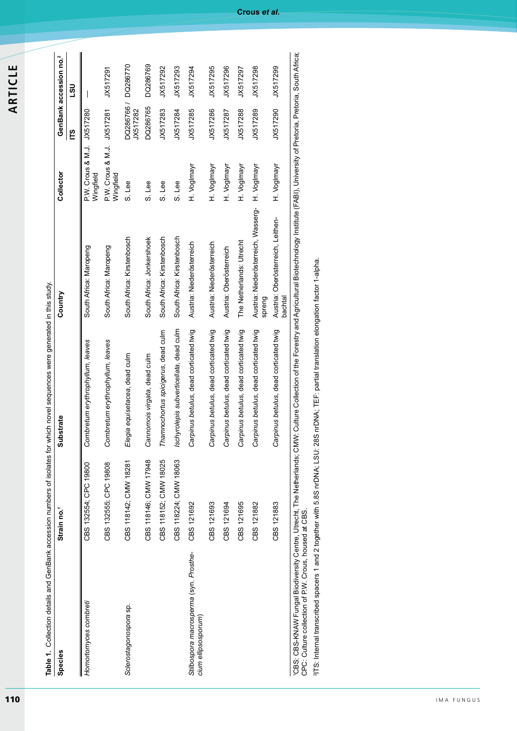| ш |  |
|---|--|
| ┙ |  |
| U |  |
|   |  |
| ⊢ |  |
| ≃ |  |
| ⋖ |  |

| Table 1. Collection details and GenBank accession numbers of isolates for which novel sequences were generated in this study.<br>Species                                                                      | Strain no. <sup>1</sup> | Substrate                               | Country                                       | Collector                               |                                 | GenBank accession no. <sup>2</sup> |
|---------------------------------------------------------------------------------------------------------------------------------------------------------------------------------------------------------------|-------------------------|-----------------------------------------|-----------------------------------------------|-----------------------------------------|---------------------------------|------------------------------------|
|                                                                                                                                                                                                               |                         |                                         |                                               |                                         | ΓS                              | ຼິຍາ                               |
| Homortomyces combreti                                                                                                                                                                                         | CBS 132554; CPC 19800   | Combretum erythrophyllum, leaves        | South Africa: Maropeng                        | P.W. Crous & M.J. JX517280<br>Wingfield |                                 |                                    |
|                                                                                                                                                                                                               | CBS 132555; CPC 19808   | Combretum erythrophyllum, leaves        | South Africa: Maropeng                        | P.W. Crous & M.J. JX517281<br>Wingfield |                                 | JX517291                           |
| Sclerostagonospora sp.                                                                                                                                                                                        | CBS 118142; CMW 18281   | Elegia equisetacea, dead culm           | South Africa: Kirstenbosch                    | S. Lee                                  | DQ286766 / DQ286770<br>JX517282 |                                    |
|                                                                                                                                                                                                               | CBS 118146; CMW 17948   | Cannomois virgata, dead culm            | South Africa: Jonkershoek                     | S. Lee                                  | DQ286765                        | DQ286769                           |
|                                                                                                                                                                                                               | CBS 118152; CMW 18025   | Thamnochortus spicigerus, dead culm     | South Africa: Kirstenbosch                    | S. Lee                                  | JX517283                        | JX517292                           |
|                                                                                                                                                                                                               | CBS 118224; CMW 18063   | Ischyrolepis subverticellata, dead culm | South Africa: Kirstenbosch                    | S. Lee                                  | JX517284                        | JX517293                           |
| Stilbospora macrosperma (syn. Prosthe-<br>cium ellipsosporum)                                                                                                                                                 | CBS 121692              | Carpinus betulus, dead corticated twig  | Austria: Niederösterreich                     | H. VogImayr                             | JX517285                        | JX517294                           |
|                                                                                                                                                                                                               | CBS 121693              | Carpinus betulus, dead corticated twig  | Austria: Niederösterreich                     | H. VogImayr                             | JX517286                        | JX517295                           |
|                                                                                                                                                                                                               | CBS 121694              | Carpinus betulus, dead corticated twig  | Austria: Oberösterreich                       | H. VogImayr                             | JX517287                        | JX517296                           |
|                                                                                                                                                                                                               | CBS 121695              | Carpinus betulus, dead corticated twig  | The Netherlands: Utrecht                      | H. Voglmayr                             | JX517288                        | JX517297                           |
|                                                                                                                                                                                                               | CBS 121882              | Carpinus betulus, dead corticated twig  | Austria: Niederösterreich, Wasserg-<br>spreng | H. VogImayr                             | JX517289                        | JX517298                           |
|                                                                                                                                                                                                               | CBS 121883              | Carpinus betulus, dead corticated twig  | Austria: Oberösterreich, Leithen-<br>bachtal  | H. Voglmayr                             | JX517290                        | JX517299                           |
| 'CBS: CBS-KNAW Fungal Biodiversity Centre, Utrecht, The Netherlands; CMW: Cullure Collection of the Forestry and Agricultural Biotechnology Institute (FABI), University of Pretoria, Pretoria, South Africa; |                         |                                         |                                               |                                         |                                 |                                    |

ה<br>ה CPC: Culture collection of P.W. Crous, housed at CBS.

<sup>2</sup>ITS: Internal transcribed spacers 1 and 2 together with 5.8S nrDNA; LSU: 28S nrDNA; TEF: partial translation elongation factor 1-alpha.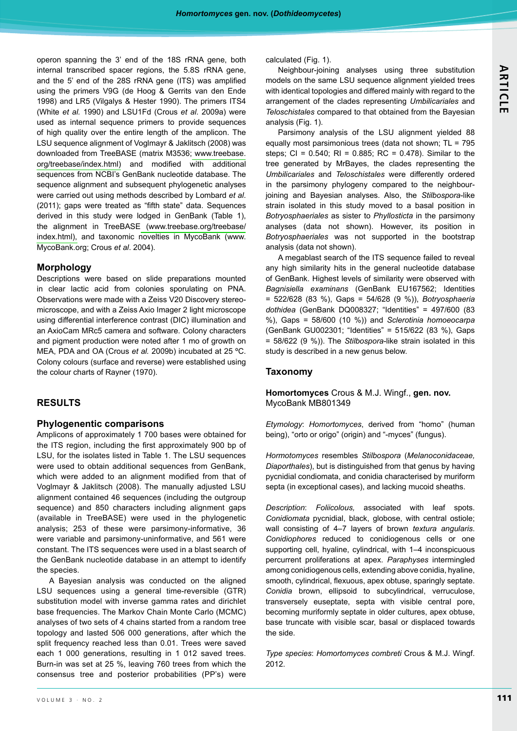operon spanning the 3' end of the 18S rRNA gene, both internal transcribed spacer regions, the 5.8S rRNA gene, and the 5' end of the 28S rRNA gene (ITS) was amplified using the primers V9G (de Hoog & Gerrits van den Ende 1998) and LR5 (Vilgalys & Hester 1990). The primers ITS4 (White et al. 1990) and LSU1Fd (Crous et al. 2009a) were used as internal sequence primers to provide sequences of high quality over the entire length of the amplicon. The LSU sequence alignment of Voglmayr & Jaklitsch (2008) was downloaded from TreeBASE (matrix M3536; www.treebase. org/treebase/index.html) and modified with additional sequences from NCBI's GenBank nucleotide database. The sequence alignment and subsequent phylogenetic analyses were carried out using methods described by Lombard et al. (2011); gaps were treated as "fifth state" data. Sequences derived in this study were lodged in GenBank (Table 1), the alignment in TreeBASE (www.treebase.org/treebase/ index.html), and taxonomic novelties in MycoBank (www. MycoBank.org; Crous et al. 2004).

# **Morphology**

Descriptions were based on slide preparations mounted in clear lactic acid from colonies sporulating on PNA. Observations were made with a Zeiss V20 Discovery stereomicroscope, and with a Zeiss Axio Imager 2 light microscope using differential interference contrast (DIC) illumination and an AxioCam MRc5 camera and software. Colony characters and pigment production were noted after 1 mo of growth on MEA, PDA and OA (Crous et al. 2009b) incubated at 25 °C. Colony colours (surface and reverse) were established using the colour charts of Rayner (1970).

# **RESULTS**

#### **Phylogenentic comparisons**

Amplicons of approximately 1 700 bases were obtained for the ITS region, including the first approximately 900 bp of LSU, for the isolates listed in Table 1. The LSU sequences were used to obtain additional sequences from GenBank, which were added to an alignment modified from that of Voglmayr & Jaklitsch (2008). The manually adjusted LSU alignment contained 46 sequences (including the outgroup sequence) and 850 characters including alignment gaps (available in TreeBASE) were used in the phylogenetic analysis; 253 of these were parsimony-informative, 36 were variable and parsimony-uninformative, and 561 were constant. The ITS sequences were used in a blast search of the GenBank nucleotide database in an attempt to identify the species.

A Bayesian analysis was conducted on the aligned LSU sequences using a general time-reversible (GTR) substitution model with inverse gamma rates and dirichlet base frequencies. The Markov Chain Monte Carlo (MCMC) analyses of two sets of 4 chains started from a random tree topology and lasted 506 000 generations, after which the split frequency reached less than 0.01. Trees were saved each 1 000 generations, resulting in 1 012 saved trees. Burn-in was set at 25 %, leaving 760 trees from which the consensus tree and posterior probabilities (PP's) were

calculated (Fig. 1).

Neighbour-joining analyses using three substitution models on the same LSU sequence alignment yielded trees with identical topologies and differed mainly with regard to the arrangement of the clades representing Umbilicariales and Teloschistales compared to that obtained from the Bayesian analysis (Fig. 1).

Parsimony analysis of the LSU alignment yielded 88 equally most parsimonious trees (data not shown; TL = 795 steps; CI =  $0.540$ ; RI =  $0.885$ ; RC =  $0.478$ ). Similar to the tree generated by MrBayes, the clades representing the Umbilicariales and Teloschistales were differently ordered in the parsimony phylogeny compared to the neighbourjoining and Bayesian analyses. Also, the Stilbospora-like strain isolated in this study moved to a basal position in Botryosphaeriales as sister to Phyllosticta in the parsimony analyses (data not shown). However, its position in Botryosphaeriales was not supported in the bootstrap analysis (data not shown).

A megablast search of the ITS sequence failed to reveal any high similarity hits in the general nucleotide database of GenBank. Highest levels of similarity were observed with Bagnisiella examinans (GenBank EU167562; Identities  $= 522/628$  (83 %), Gaps = 54/628 (9 %)), Botryosphaeria dothidea (GenBank DQ008327; "Identities" = 497/600 (83 %), Gaps = 58/600 (10 %)) and Sclerotinia homoeocarpa (GenBank GU002301; "Identities" = 515/622 (83 %), Gaps = 58/622 (9 %)). The Stilbospora-like strain isolated in this study is described in a new genus below.

# **Taxonomy**

#### Homortomyces Crous & M.J. Wingf., gen. nov. MycoBank MB801349

Etymology: Homortomyces, derived from "homo" (human being), "orto or origo" (origin) and "-myces" (fungus).

Hormotomyces resembles Stilbospora (Melanoconidaceae, Diaporthales), but is distinguished from that genus by having pycnidial condiomata, and conidia characterised by muriform septa (in exceptional cases), and lacking mucoid sheaths.

Description: Foliicolous, associated with leaf spots. Conidiomata pycnidial, black, globose, with central ostiole; wall consisting of 4-7 layers of brown textura angularis. Conidiophores reduced to conidiogenous cells or one supporting cell, hyaline, cylindrical, with 1-4 inconspicuous percurrent proliferations at apex. Paraphyses intermingled among conidiogenous cells, extending above conidia, hyaline, smooth, cylindrical, flexuous, apex obtuse, sparingly septate. Conidia brown, ellipsoid to subcylindrical, verruculose, transversely euseptate, septa with visible central pore, becoming muriformly septate in older cultures, apex obtuse, base truncate with visible scar, basal or displaced towards the side.

Type species: Homortomyces combreti Crous & M.J. Wingf. 2012.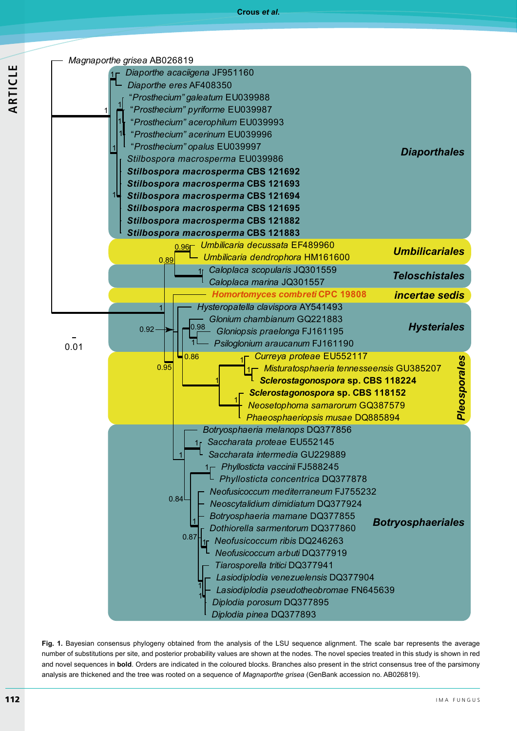



Fig. 1. Bayesian consensus phylogeny obtained from the analysis of the LSU sequence alignment. The scale bar represents the average number of substitutions per site, and posterior probability values are shown at the nodes. The novel species treated in this study is shown in red and novel sequences in bold. Orders are indicated in the coloured blocks. Branches also present in the strict consensus tree of the parsimony analysis are thickened and the tree was rooted on a sequence of Magnaporthe grisea (GenBank accession no. AB026819).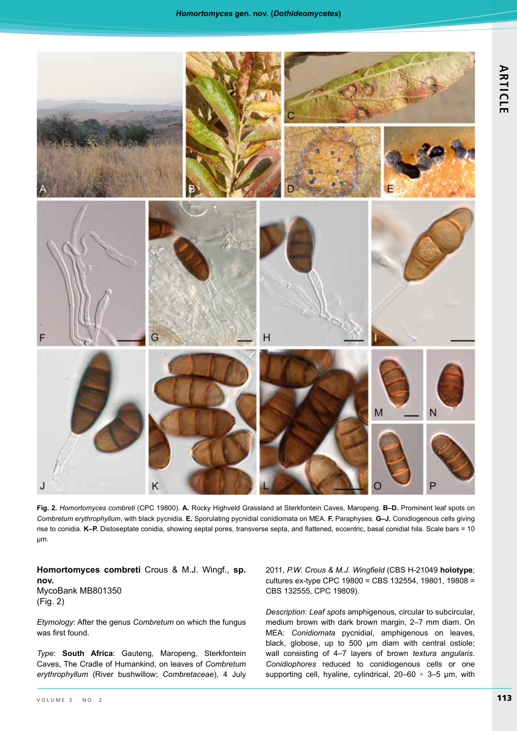

Fig. 2. Homortomyces combreti (CPC 19800). A. Rocky Highveld Grassland at Sterkfontein Caves, Maropeng. B-D. Prominent leaf spots on Combretum erythrophyllum, with black pycnidia. E. Sporulating pycnidial conidiomata on MEA. F. Paraphyses. G-J. Conidiogenous cells giving rise to conidia. K-P. Distoseptate conidia, showing septal pores, transverse septa, and flattened, eccentric, basal conidial hila. Scale bars = 10  $µm.$ 

Homortomyces combreti Crous & M.J. Wingf., sp. nov. MycoBank MB801350  $(Fig. 2)$ 

Etymology: After the genus Combretum on which the fungus was first found.

Type: South Africa: Gauteng, Maropeng, Sterkfontein Caves, The Cradle of Humankind, on leaves of Combretum erythrophyllum (River bushwillow; Combretaceae), 4 July 2011, P.W. Crous & M.J. Wingfield (CBS H-21049 holotype; cultures ex-type CPC 19800 = CBS 132554, 19801, 19808 = CBS 132555, CPC 19809).

Description: Leaf spots amphigenous, circular to subcircular, medium brown with dark brown margin, 2-7 mm diam. On MEA: Conidiomata pycnidial, amphigenous on leaves, black, globose, up to 500 um diam with central ostiole; wall consisting of 4-7 layers of brown textura angularis. Conidiophores reduced to conidiogenous cells or one supporting cell, hyaline, cylindrical,  $20-60 \times 3-5$  µm, with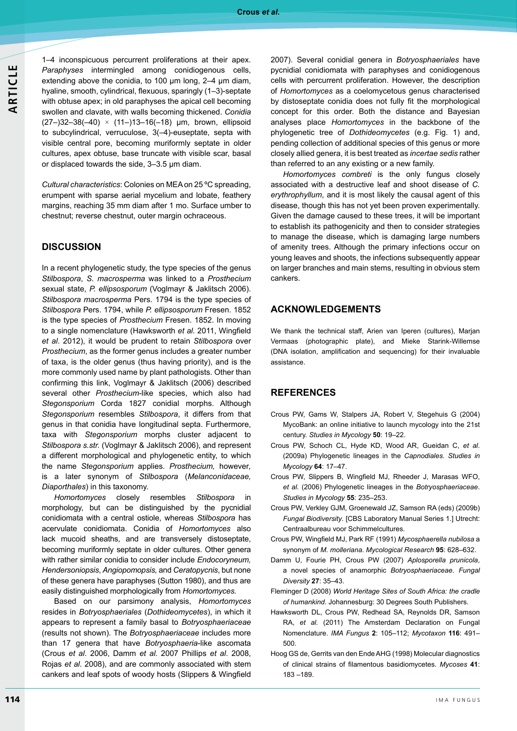1-4 inconspicuous percurrent proliferations at their apex. Paraphyses intermingled among conidiogenous cells, extending above the conidia, to 100  $\mu$ m long, 2–4  $\mu$ m diam, hyaline, smooth, cylindrical, flexuous, sparingly (1-3)-septate with obtuse apex; in old paraphyses the apical cell becoming swollen and clavate, with walls becoming thickened. Conidia  $(27-)32-38(-40) \times (11-)13-16(-18)$  µm, brown, ellipsoid to subcylindrical, verruculose, 3(-4)-euseptate, septa with visible central pore, becoming muriformly septate in older cultures, apex obtuse, base truncate with visible scar, basal or displaced towards the side, 3-3.5 µm diam.

Cultural characteristics: Colonies on MEA on 25 °C spreading, erumpent with sparse aerial mycelium and lobate, feathery margins, reaching 35 mm diam after 1 mo. Surface umber to chestnut; reverse chestnut, outer margin ochraceous.

# **DISCUSSION**

In a recent phylogenetic study, the type species of the genus Stilbospora, S. macrosperma was linked to a Prosthecium sexual state, P. ellipsosporum (Voglmayr & Jaklitsch 2006). Stilbospora macrosperma Pers. 1794 is the type species of Stilbospora Pers. 1794, while P. ellipsosporum Fresen. 1852 is the type species of Prosthecium Fresen. 1852. In moving to a single nomenclature (Hawksworth et al. 2011, Wingfield et al. 2012), it would be prudent to retain Stilbospora over Prosthecium, as the former genus includes a greater number of taxa, is the older genus (thus having priority), and is the more commonly used name by plant pathologists. Other than confirming this link, Voglmayr & Jaklitsch (2006) described several other Prosthecium-like species, which also had Stegonsporium Corda 1827 conidial morphs. Although Stegonsporium resembles Stilbospora, it differs from that genus in that conidia have longitudinal septa. Furthermore, taxa with Stegonsporium morphs cluster adjacent to Stilbospora s.str. (Voglmayr & Jaklitsch 2006), and represent a different morphological and phylogenetic entity, to which the name Stegonsporium applies. Prosthecium, however, is a later synonym of Stilbospora (Melanconidaceae, Diaporthales) in this taxonomy.

Homortomyces closely resembles Stilbospora in morphology, but can be distinguished by the pycnidial conidiomata with a central ostiole, whereas Stilbospora has acervulate conidiomata. Conidia of Homortomyces also lack mucoid sheaths, and are transversely distoseptate, becoming muriformly septate in older cultures. Other genera with rather similar conidia to consider include Endocoryneum, Hendersoniopsis, Angiopomopsis, and Ceratopycnis, but none of these genera have paraphyses (Sutton 1980), and thus are easily distinguished morphologically from Homortomyces.

Based on our parsimony analysis, Homortomyces resides in Botryosphaeriales (Dothideomycetes), in which it appears to represent a family basal to Botryosphaeriaceae (results not shown). The Botryosphaeriaceae includes more than 17 genera that have Botryosphaeria-like ascomata (Crous et al. 2006, Damm et al. 2007 Phillips et al. 2008, Rojas et al. 2008), and are commonly associated with stem cankers and leaf spots of woody hosts (Slippers & Wingfield 2007). Several conidial genera in Botryosphaeriales have pycnidial conidiomata with paraphyses and conidiogenous cells with percurrent proliferation. However, the description of Homortomyces as a coelomycetous genus characterised by distoseptate conidia does not fully fit the morphological concept for this order. Both the distance and Bayesian analyses place Homortomyces in the backbone of the phylogenetic tree of Dothideomycetes (e.g. Fig. 1) and, pending collection of additional species of this genus or more closely allied genera, it is best treated as *incertae sedis* rather than referred to an any existing or a new family.

Homortomyces combreti is the only fungus closely associated with a destructive leaf and shoot disease of C. erythrophyllum, and it is most likely the causal agent of this disease, though this has not yet been proven experimentally. Given the damage caused to these trees, it will be important to establish its pathogenicity and then to consider strategies to manage the disease, which is damaging large numbers of amenity trees. Although the primary infections occur on young leaves and shoots, the infections subsequently appear on larger branches and main stems, resulting in obvious stem cankers.

# **ACKNOWLEDGEMENTS**

We thank the technical staff, Arien van Iperen (cultures), Marjan Vermaas (photographic plate), and Mieke Starink-Willemse (DNA isolation, amplification and sequencing) for their invaluable assistance.

# **REFERENCES**

- Crous PW, Gams W, Stalpers JA, Robert V, Stegehuis G (2004) MycoBank: an online initiative to launch mycology into the 21st century. Studies in Mycology 50: 19-22.
- Crous PW, Schoch CL, Hyde KD, Wood AR, Gueidan C, et al. (2009a) Phylogenetic lineages in the Capnodiales. Studies in Mycology 64: 17-47.
- Crous PW, Slippers B, Wingfield MJ, Rheeder J, Marasas WFO, et al. (2006) Phylogenetic lineages in the Botryosphaeriaceae. Studies in Mycology 55: 235-253.
- Crous PW, Verkley GJM, Groenewald JZ, Samson RA (eds) (2009b) Fungal Biodiversity. [CBS Laboratory Manual Series 1.] Utrecht: Centraalbureau voor Schimmelcultures.
- Crous PW, Wingfield MJ, Park RF (1991) Mycosphaerella nubilosa a synonym of M. molleriana. Mycological Research 95: 628-632.
- Damm U, Fourie PH, Crous PW (2007) Aplosporella prunicola, a novel species of anamorphic Botryosphaeriaceae. Fungal Diversity 27: 35-43.
- Fleminger D (2008) World Heritage Sites of South Africa: the cradle of humankind. Johannesburg: 30 Degrees South Publishers.
- Hawksworth DL, Crous PW, Redhead SA, Reynolds DR, Samson RA, et al. (2011) The Amsterdam Declaration on Fungal Nomenclature. IMA Fungus 2: 105-112; Mycotaxon 116: 491-500
- Hoog GS de, Gerrits van den Ende AHG (1998) Molecular diagnostics of clinical strains of filamentous basidiomycetes. Mycoses 41:  $183 - 189.$